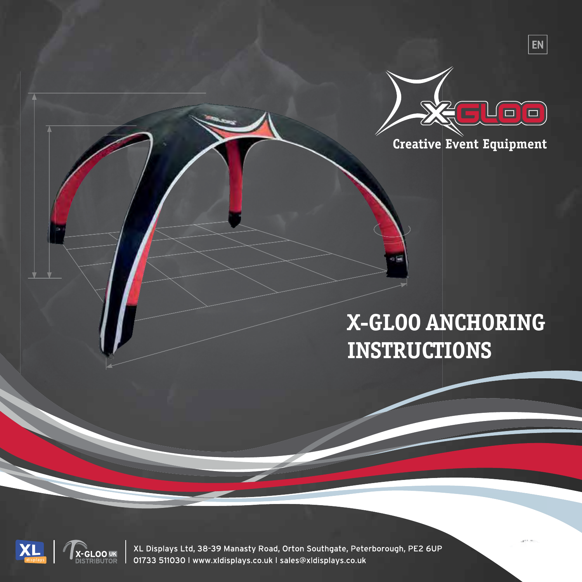

 $|EN|$ 

**Creative Event Equipment** 

# **X-GLOO ANCHORING INSTRUCTIONS**

 $\alpha$ 



XL Displays Ltd, 38-39 Manasty Road, Orton Southgate, Peterborough, PE2 6UP 01733 511030 I www.xldisplays.co.uk I sales@xldisplays.co.uk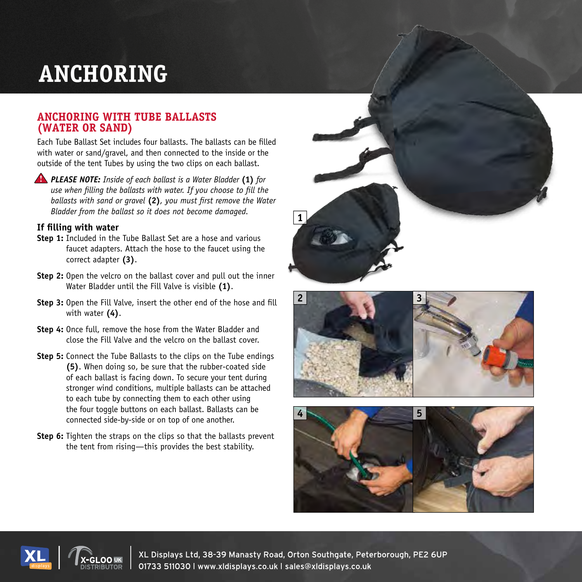# **ANCHORING**

### **ANCHORING WITH TUBE BALLASTS (WATER OR SAND)**

Each Tube Ballast Set includes four ballasts. The ballasts can be filled with water or sand/gravel, and then connected to the inside or the outside of the tent Tubes by using the two clips on each ballast.

*PLEASE NOTE: Inside of each ballast is a Water Bladder* **(1)** *for use when filling the ballasts with water. If you choose to fill the ballasts with sand or gravel* **(2)***, you must first remove the Water Bladder from the ballast so it does not become damaged.*

#### **If filling with water**

- **Step 1:** Included in the Tube Ballast Set are a hose and various faucet adapters. Attach the hose to the faucet using the correct adapter **(3)**.
- **Step 2:** Open the velcro on the ballast cover and pull out the inner Water Bladder until the Fill Valve is visible **(1)**.
- **Step 3:** Open the Fill Valve, insert the other end of the hose and fill with water **(4)**.
- **Step 4:** Once full, remove the hose from the Water Bladder and close the Fill Valve and the velcro on the ballast cover.
- **Step 5:** Connect the Tube Ballasts to the clips on the Tube endings **(5)**. When doing so, be sure that the rubber-coated side of each ballast is facing down. To secure your tent during stronger wind conditions, multiple ballasts can be attached to each tube by connecting them to each other using the four toggle buttons on each ballast. Ballasts can be connected side-by-side or on top of one another.
- **Step 6:** Tighten the straps on the clips so that the ballasts prevent the tent from rising—this provides the best stability.











XL Displays Ltd, 38-39 Manasty Road, Orton Southgate, Peterborough, PE2 6UP<br>01733 511030 I www.xldisplays.co.uk I sales@xldisplays.co.uk\_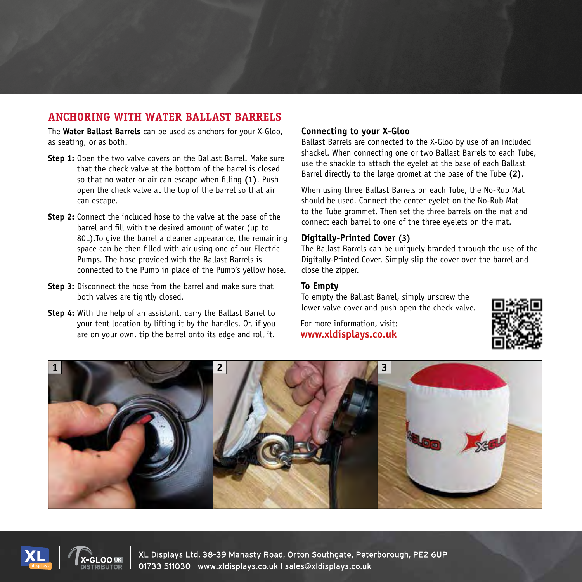## **ANCHORING WITH WATER BALLAST BARRELS**

The **Water Ballast Barrels** can be used as anchors for your X-Gloo, as seating, or as both.

- **Step 1:** Open the two valve covers on the Ballast Barrel. Make sure that the check valve at the bottom of the barrel is closed so that no water or air can escape when filling **(1)**. Push open the check valve at the top of the barrel so that air can escape.
- **Step 2:** Connect the included hose to the valve at the base of the barrel and fill with the desired amount of water (up to 80L).To give the barrel a cleaner appearance, the remaining space can be then filled with air using one of our Electric Pumps. The hose provided with the Ballast Barrels is connected to the Pump in place of the Pump's yellow hose.
- **Step 3:** Disconnect the hose from the barrel and make sure that both valves are tightly closed.
- **Step 4:** With the help of an assistant, carry the Ballast Barrel to your tent location by lifting it by the handles. Or, if you are on your own, tip the barrel onto its edge and roll it.

#### **Connecting to your X-Gloo**

Ballast Barrels are connected to the X-Gloo by use of an included shackel. When connecting one or two Ballast Barrels to each Tube, use the shackle to attach the eyelet at the base of each Ballast Barrel directly to the large gromet at the base of the Tube **(2)**.

When using three Ballast Barrels on each Tube, the No-Rub Mat should be used. Connect the center eyelet on the No-Rub Mat to the Tube grommet. Then set the three barrels on the mat and connect each barrel to one of the three eyelets on the mat.

#### **Digitally-Printed Cover (3)**

The Ballast Barrels can be uniquely branded through the use of the Digitally-Printed Cover. Simply slip the cover over the barrel and close the zipper.

#### **To Empty**

To empty the Ballast Barrel, simply unscrew the lower valve cover and push open the check valve.

For more information, visit: **www.x-gloo.com/en/experience/videos/ www.xldisplays.co.uk**









XL Displays Ltd, 38-39 Manasty Road, Orton Southgate, Peterborough, PE2 6UP<br>01733 511030 | www.xldisplays.co.uk | sales@xldisplays.co.uk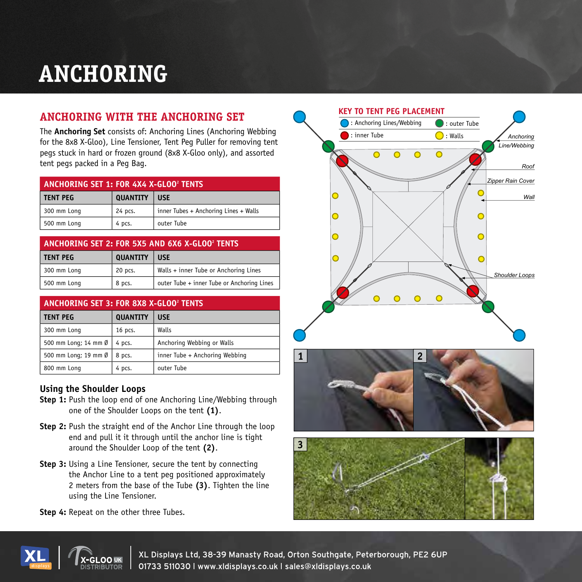# **ANCHORING**

## **ANCHORING WITH THE ANCHORING SET**

The **Anchoring Set** consists of: Anchoring Lines (Anchoring Webbing for the 8x8 X-Gloo), Line Tensioner, Tent Peg Puller for removing tent pegs stuck in hard or frozen ground (8x8 X-Gloo only), and assorted

| ANCHORING SET 1: FOR 4X4 X-GLOO <sup>2</sup> TENTS |                 |                                       |  |  |
|----------------------------------------------------|-----------------|---------------------------------------|--|--|
| <b>TENT PEG</b>                                    | <b>QUANTITY</b> | <b>USE</b>                            |  |  |
| 300 mm Long                                        | 24 pcs.         | inner Tubes + Anchoring Lines + Walls |  |  |
| 500 mm Long                                        | 4 pcs.          | outer Tube                            |  |  |

| ANCHORING SET 2: FOR 5X5 AND 6X6 X-GLOO <sup>2</sup> TENTS |                 |                                            |  |  |
|------------------------------------------------------------|-----------------|--------------------------------------------|--|--|
| <b>TENT PEG</b>                                            | <b>QUANTITY</b> | <b>USE</b>                                 |  |  |
| 300 mm Long                                                | 20 pcs.         | Walls + inner Tube or Anchoring Lines      |  |  |
| 500 mm Long                                                | 8 pcs.          | outer Tube + inner Tube or Anchoring Lines |  |  |

| ANCHORING SET 3: FOR 8X8 X-GLOO <sup>2</sup> TENTS |                 |                                |  |  |
|----------------------------------------------------|-----------------|--------------------------------|--|--|
| <b>TENT PEG</b>                                    | <b>QUANTITY</b> | <b>USE</b>                     |  |  |
| 300 mm Long                                        | 16 pcs.         | Walls                          |  |  |
| 500 mm Long; 14 mm Ø                               | 4 pcs.          | Anchoring Webbing or Walls     |  |  |
| 500 mm Long; 19 mm Ø                               | 8 pcs.          | inner Tube + Anchoring Webbing |  |  |
| 800 mm Long                                        | 4 pcs.          | outer Tube                     |  |  |

### **Using the Shoulder Loops**

- **Step 1:** Push the loop end of one Anchoring Line/Webbing through one of the Shoulder Loops on the tent **(1)**.
- **Step 2:** Push the straight end of the Anchor Line through the loop end and pull it it through until the anchor line is tight around the Shoulder Loop of the tent **(2)**.
- **Step 3:** Using a Line Tensioner, secure the tent by connecting the Anchor Line to a tent peg positioned approximately 2 meters from the base of the Tube **(3)**. Tighten the line using the Line Tensioner.



**Step 4:** Repeat on the other three Tubes.





**12** XL Displays Ltd, 38-39 Manasty Road, Orton Southgate, Peterborough, PE2 6UP<br>-GLOO UK 01733 511030 I www.xldisplays.co.uk I sales@xldisplays.co.uk